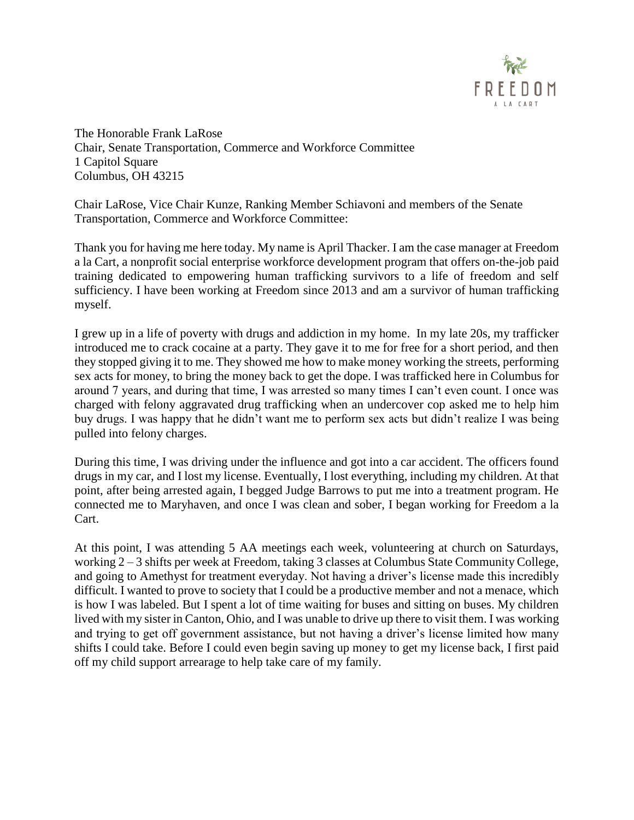

The Honorable Frank LaRose Chair, Senate Transportation, Commerce and Workforce Committee 1 Capitol Square Columbus, OH 43215

Chair LaRose, Vice Chair Kunze, Ranking Member Schiavoni and members of the Senate Transportation, Commerce and Workforce Committee:

Thank you for having me here today. My name is April Thacker. I am the case manager at Freedom a la Cart, a nonprofit social enterprise workforce development program that offers on-the-job paid training dedicated to empowering human trafficking survivors to a life of freedom and self sufficiency. I have been working at Freedom since 2013 and am a survivor of human trafficking myself.

I grew up in a life of poverty with drugs and addiction in my home. In my late 20s, my trafficker introduced me to crack cocaine at a party. They gave it to me for free for a short period, and then they stopped giving it to me. They showed me how to make money working the streets, performing sex acts for money, to bring the money back to get the dope. I was trafficked here in Columbus for around 7 years, and during that time, I was arrested so many times I can't even count. I once was charged with felony aggravated drug trafficking when an undercover cop asked me to help him buy drugs. I was happy that he didn't want me to perform sex acts but didn't realize I was being pulled into felony charges.

During this time, I was driving under the influence and got into a car accident. The officers found drugs in my car, and I lost my license. Eventually, I lost everything, including my children. At that point, after being arrested again, I begged Judge Barrows to put me into a treatment program. He connected me to Maryhaven, and once I was clean and sober, I began working for Freedom a la Cart.

At this point, I was attending 5 AA meetings each week, volunteering at church on Saturdays, working 2 – 3 shifts per week at Freedom, taking 3 classes at Columbus State Community College, and going to Amethyst for treatment everyday. Not having a driver's license made this incredibly difficult. I wanted to prove to society that I could be a productive member and not a menace, which is how I was labeled. But I spent a lot of time waiting for buses and sitting on buses. My children lived with my sister in Canton, Ohio, and I was unable to drive up there to visit them. I was working and trying to get off government assistance, but not having a driver's license limited how many shifts I could take. Before I could even begin saving up money to get my license back, I first paid off my child support arrearage to help take care of my family.